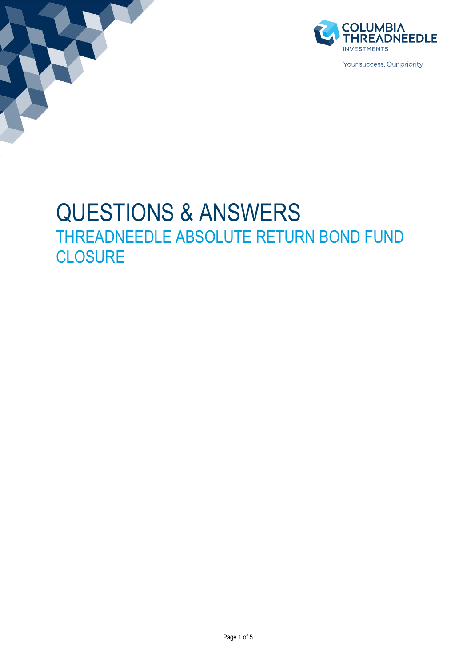



Your success. Our priority

# QUESTIONS & ANSWERS THREADNEEDLE ABSOLUTE RETURN BOND FUND **CLOSURE**

Page 1 of 5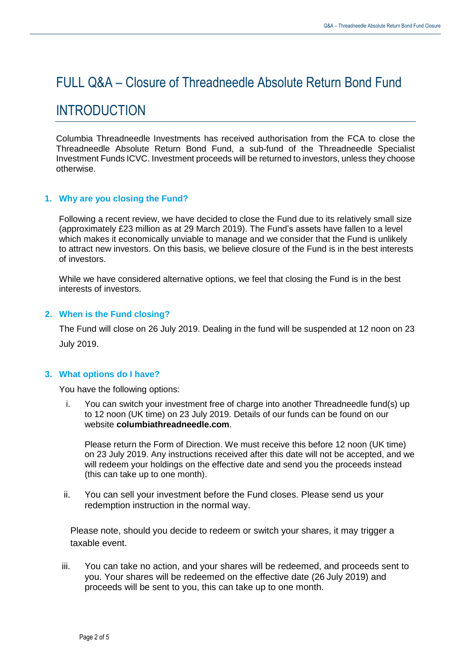# FULL Q&A – Closure of Threadneedle Absolute Return Bond Fund

# INTRODUCTION

Columbia Threadneedle Investments has received authorisation from the FCA to close the Threadneedle Absolute Return Bond Fund, a sub-fund of the Threadneedle Specialist Investment Funds ICVC. Investment proceeds will be returned to investors, unless they choose otherwise.

# **1. Why are you closing the Fund?**

Following a recent review, we have decided to close the Fund due to its relatively small size (approximately £23 million as at 29 March 2019). The Fund's assets have fallen to a level which makes it economically unviable to manage and we consider that the Fund is unlikely to attract new investors. On this basis, we believe closure of the Fund is in the best interests of investors.

While we have considered alternative options, we feel that closing the Fund is in the best interests of investors.

## **2. When is the Fund closing?**

The Fund will close on 26 July 2019. Dealing in the fund will be suspended at 12 noon on 23 July 2019.

#### **3. What options do I have?**

You have the following options:

i. You can switch your investment free of charge into another Threadneedle fund(s) up to 12 noon (UK time) on 23 July 2019. Details of our funds can be found on our website **[columbiathreadneedle.com](http://columbiathreadneedle.com/)**.

Please return the Form of Direction. We must receive this before 12 noon (UK time) on 23 July 2019. Any instructions received after this date will not be accepted, and we will redeem your holdings on the effective date and send you the proceeds instead (this can take up to one month).

ii. You can sell your investment before the Fund closes. Please send us your redemption instruction in the normal way.

Please note, should you decide to redeem or switch your shares, it may trigger a taxable event.

iii. You can take no action, and your shares will be redeemed, and proceeds sent to you. Your shares will be redeemed on the effective date (26 July 2019) and proceeds will be sent to you, this can take up to one month.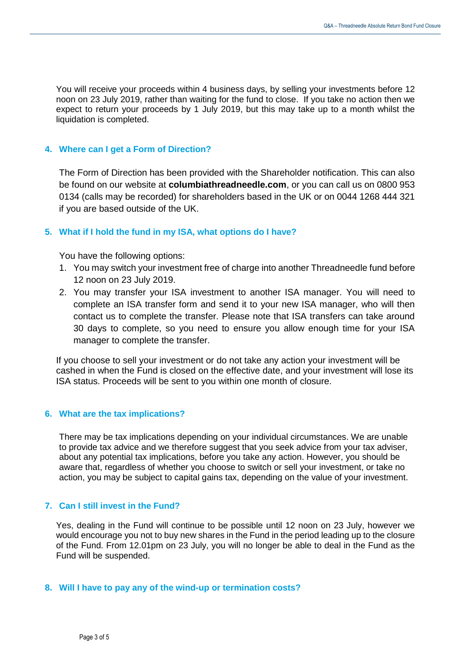You will receive your proceeds within 4 business days, by selling your investments before 12 noon on 23 July 2019, rather than waiting for the fund to close. If you take no action then we expect to return your proceeds by 1 July 2019, but this may take up to a month whilst the liquidation is completed.

## **4. Where can I get a Form of Direction?**

The Form of Direction has been provided with the Shareholder notification. This can also be found on our website at **[columbiathreadneedle.com](http://columbiathreadneedle.com/)**, or you can call us on 0800 953 0134 (calls may be recorded) for shareholders based in the UK or on 0044 1268 444 321 if you are based outside of the UK.

## **5. What if I hold the fund in my ISA, what options do I have?**

You have the following options:

- 1. You may switch your investment free of charge into another Threadneedle fund before 12 noon on 23 July 2019.
- 2. You may transfer your ISA investment to another ISA manager. You will need to complete an ISA transfer form and send it to your new ISA manager, who will then contact us to complete the transfer. Please note that ISA transfers can take around 30 days to complete, so you need to ensure you allow enough time for your ISA manager to complete the transfer.

If you choose to sell your investment or do not take any action your investment will be cashed in when the Fund is closed on the effective date, and your investment will lose its ISA status. Proceeds will be sent to you within one month of closure.

#### **6. What are the tax implications?**

There may be tax implications depending on your individual circumstances. We are unable to provide tax advice and we therefore suggest that you seek advice from your tax adviser, about any potential tax implications, before you take any action. However, you should be aware that, regardless of whether you choose to switch or sell your investment, or take no action, you may be subject to capital gains tax, depending on the value of your investment.

#### **7. Can I still invest in the Fund?**

Yes, dealing in the Fund will continue to be possible until 12 noon on 23 July, however we would encourage you not to buy new shares in the Fund in the period leading up to the closure of the Fund. From 12.01pm on 23 July, you will no longer be able to deal in the Fund as the Fund will be suspended.

#### **8. Will I have to pay any of the wind-up or termination costs?**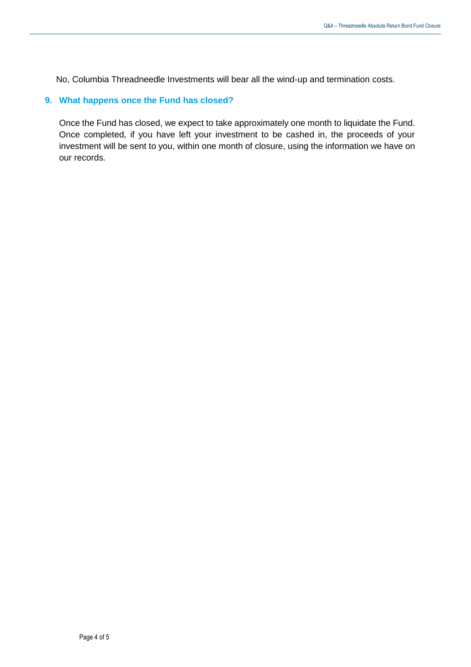No, Columbia Threadneedle Investments will bear all the wind-up and termination costs.

## **9. What happens once the Fund has closed?**

Once the Fund has closed, we expect to take approximately one month to liquidate the Fund. Once completed, if you have left your investment to be cashed in, the proceeds of your investment will be sent to you, within one month of closure, using the information we have on our records.